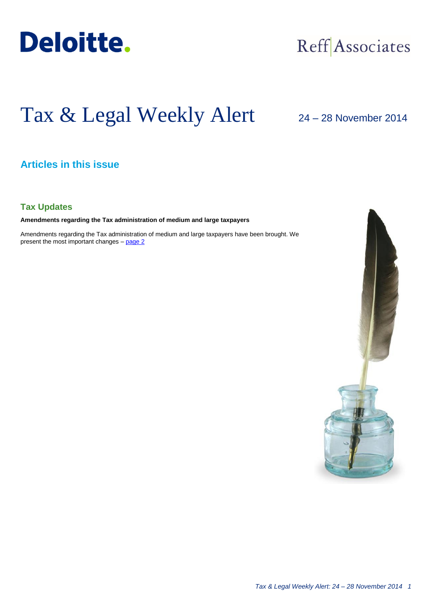

## Reff Associates

# Tax & Legal Weekly Alert

24 – 28 November 2014

## **Articles in this issue**

## **Tax Updates**

**Amendments regarding the Tax administration of medium and large taxpayers**

Amendments regarding the Tax administration of medium and large taxpayers have been brought. We present the most important changes - [page 2](#page-1-0)

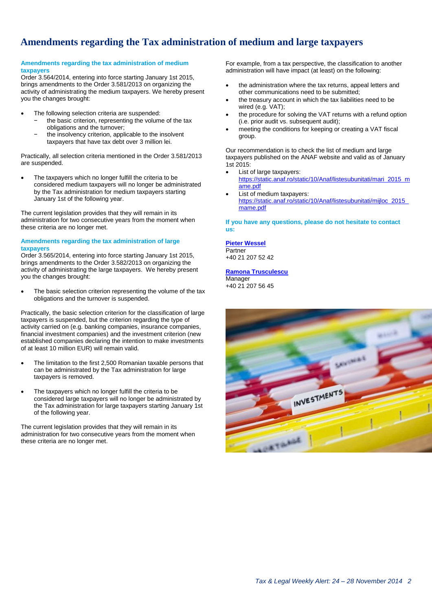## <span id="page-1-0"></span>**Amendments regarding the Tax administration of medium and large taxpayers**

#### **Amendments regarding the tax administration of medium taxpayers**

Order 3.564/2014, entering into force starting January 1st 2015, brings amendments to the Order 3.581/2013 on organizing the activity of administrating the medium taxpayers. We hereby present you the changes brought:

- The following selection criteria are suspended:
	- the basic criterion, representing the volume of the tax obligations and the turnover;
		- the insolvency criterion, applicable to the insolvent taxpayers that have tax debt over 3 million lei.

Practically, all selection criteria mentioned in the Order 3.581/2013 are suspended.

 The taxpayers which no longer fulfill the criteria to be considered medium taxpayers will no longer be administrated by the Tax administration for medium taxpayers starting January 1st of the following year.

The current legislation provides that they will remain in its administration for two consecutive years from the moment when these criteria are no longer met.

#### **Amendments regarding the tax administration of large taxpayers**

Order 3.565/2014, entering into force starting January 1st 2015, brings amendments to the Order 3.582/2013 on organizing the activity of administrating the large taxpayers. We hereby present you the changes brought:

 The basic selection criterion representing the volume of the tax obligations and the turnover is suspended.

Practically, the basic selection criterion for the classification of large taxpayers is suspended, but the criterion regarding the type of activity carried on (e.g. banking companies, insurance companies, financial investment companies) and the investment criterion (new established companies declaring the intention to make investments of at least 10 million EUR) will remain valid.

- The limitation to the first 2,500 Romanian taxable persons that can be administrated by the Tax administration for large taxpayers is removed.
- The taxpayers which no longer fulfill the criteria to be considered large taxpayers will no longer be administrated by the Tax administration for large taxpayers starting January 1st of the following year.

The current legislation provides that they will remain in its administration for two consecutive years from the moment when these criteria are no longer met.

For example, from a tax perspective, the classification to another administration will have impact (at least) on the following:

- the administration where the tax returns, appeal letters and other communications need to be submitted;
- the treasury account in which the tax liabilities need to be wired (e.g. VAT);
- the procedure for solving the VAT returns with a refund option (i.e. prior audit vs. subsequent audit);
- meeting the conditions for keeping or creating a VAT fiscal group.

Our recommendation is to check the list of medium and large taxpayers published on the ANAF website and valid as of January 1st 2015:

- List of large taxpayers:
- [https://static.anaf.ro/static/10/Anaf/listesubunitati/mari\\_2015\\_m](https://static.anaf.ro/static/10/Anaf/listesubunitati/mari_2015_mame.pdf) [ame.pdf](https://static.anaf.ro/static/10/Anaf/listesubunitati/mari_2015_mame.pdf)
- List of medium taxpayers: [https://static.anaf.ro/static/10/Anaf/listesubunitati/mijloc\\_2015\\_](https://static.anaf.ro/static/10/Anaf/listesubunitati/mijloc_2015_mame.pdf) [mame.pdf](https://static.anaf.ro/static/10/Anaf/listesubunitati/mijloc_2015_mame.pdf)

**If you have any questions, please do not hesitate to contact us:**

### **[Pieter Wessel](mailto:pwessel@deloittece.com)**

**Partner** +40 21 207 52 42

#### **[Ramona Trusculescu](mailto:rtrusculescu@deloittece.com)**

Manager +40 21 207 56 45